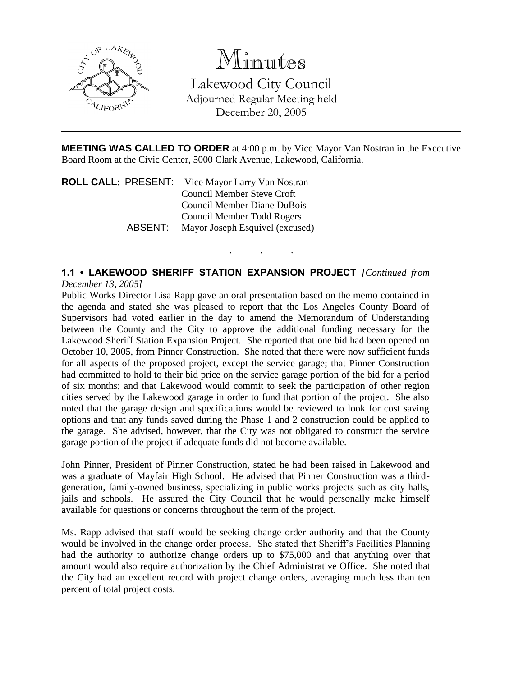

## Minutes

Lakewood City Council Adjourned Regular Meeting held December 20, 2005

**MEETING WAS CALLED TO ORDER** at 4:00 p.m. by Vice Mayor Van Nostran in the Executive Board Room at the Civic Center, 5000 Clark Avenue, Lakewood, California.

. . .

**ROLL CALL**: PRESENT: Vice Mayor Larry Van Nostran Council Member Steve Croft Council Member Diane DuBois Council Member Todd Rogers ABSENT: Mayor Joseph Esquivel (excused)

## **1.1 • LAKEWOOD SHERIFF STATION EXPANSION PROJECT** *[Continued from December 13, 2005]*

Public Works Director Lisa Rapp gave an oral presentation based on the memo contained in the agenda and stated she was pleased to report that the Los Angeles County Board of Supervisors had voted earlier in the day to amend the Memorandum of Understanding between the County and the City to approve the additional funding necessary for the Lakewood Sheriff Station Expansion Project. She reported that one bid had been opened on October 10, 2005, from Pinner Construction. She noted that there were now sufficient funds for all aspects of the proposed project, except the service garage; that Pinner Construction had committed to hold to their bid price on the service garage portion of the bid for a period of six months; and that Lakewood would commit to seek the participation of other region cities served by the Lakewood garage in order to fund that portion of the project. She also noted that the garage design and specifications would be reviewed to look for cost saving options and that any funds saved during the Phase 1 and 2 construction could be applied to the garage. She advised, however, that the City was not obligated to construct the service garage portion of the project if adequate funds did not become available.

John Pinner, President of Pinner Construction, stated he had been raised in Lakewood and was a graduate of Mayfair High School. He advised that Pinner Construction was a thirdgeneration, family-owned business, specializing in public works projects such as city halls, jails and schools. He assured the City Council that he would personally make himself available for questions or concerns throughout the term of the project.

Ms. Rapp advised that staff would be seeking change order authority and that the County would be involved in the change order process. She stated that Sheriff's Facilities Planning had the authority to authorize change orders up to \$75,000 and that anything over that amount would also require authorization by the Chief Administrative Office. She noted that the City had an excellent record with project change orders, averaging much less than ten percent of total project costs.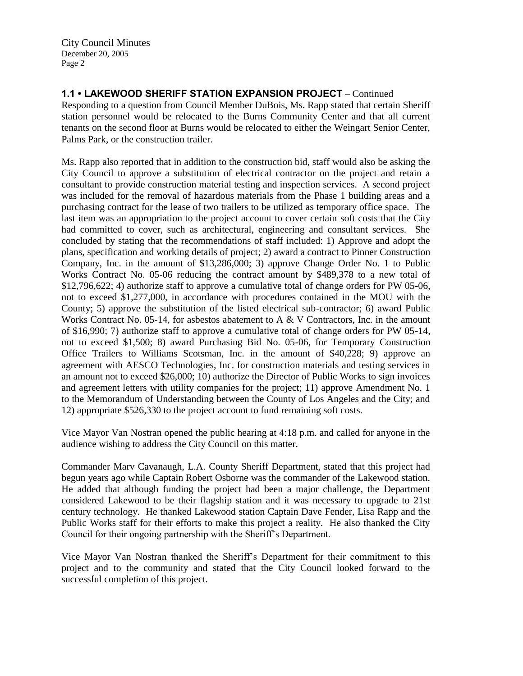**1.1 • LAKEWOOD SHERIFF STATION EXPANSION PROJECT** – Continued

Responding to a question from Council Member DuBois, Ms. Rapp stated that certain Sheriff station personnel would be relocated to the Burns Community Center and that all current tenants on the second floor at Burns would be relocated to either the Weingart Senior Center, Palms Park, or the construction trailer.

Ms. Rapp also reported that in addition to the construction bid, staff would also be asking the City Council to approve a substitution of electrical contractor on the project and retain a consultant to provide construction material testing and inspection services. A second project was included for the removal of hazardous materials from the Phase 1 building areas and a purchasing contract for the lease of two trailers to be utilized as temporary office space. The last item was an appropriation to the project account to cover certain soft costs that the City had committed to cover, such as architectural, engineering and consultant services. She concluded by stating that the recommendations of staff included: 1) Approve and adopt the plans, specification and working details of project; 2) award a contract to Pinner Construction Company, Inc. in the amount of \$13,286,000; 3) approve Change Order No. 1 to Public Works Contract No. 05-06 reducing the contract amount by \$489,378 to a new total of \$12,796,622; 4) authorize staff to approve a cumulative total of change orders for PW 05-06, not to exceed \$1,277,000, in accordance with procedures contained in the MOU with the County; 5) approve the substitution of the listed electrical sub-contractor; 6) award Public Works Contract No. 05-14, for asbestos abatement to A & V Contractors, Inc. in the amount of \$16,990; 7) authorize staff to approve a cumulative total of change orders for PW 05-14, not to exceed \$1,500; 8) award Purchasing Bid No. 05-06, for Temporary Construction Office Trailers to Williams Scotsman, Inc. in the amount of \$40,228; 9) approve an agreement with AESCO Technologies, Inc. for construction materials and testing services in an amount not to exceed \$26,000; 10) authorize the Director of Public Works to sign invoices and agreement letters with utility companies for the project; 11) approve Amendment No. 1 to the Memorandum of Understanding between the County of Los Angeles and the City; and 12) appropriate \$526,330 to the project account to fund remaining soft costs.

Vice Mayor Van Nostran opened the public hearing at 4:18 p.m. and called for anyone in the audience wishing to address the City Council on this matter.

Commander Marv Cavanaugh, L.A. County Sheriff Department, stated that this project had begun years ago while Captain Robert Osborne was the commander of the Lakewood station. He added that although funding the project had been a major challenge, the Department considered Lakewood to be their flagship station and it was necessary to upgrade to 21st century technology. He thanked Lakewood station Captain Dave Fender, Lisa Rapp and the Public Works staff for their efforts to make this project a reality. He also thanked the City Council for their ongoing partnership with the Sheriff's Department.

Vice Mayor Van Nostran thanked the Sheriff's Department for their commitment to this project and to the community and stated that the City Council looked forward to the successful completion of this project.